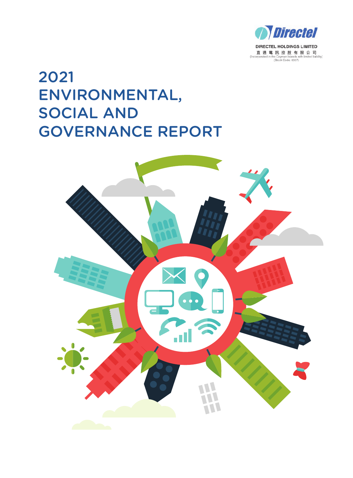

# ENVIRONMENTAL, SOCIAL AND GOVERNANCE REPORT 2021

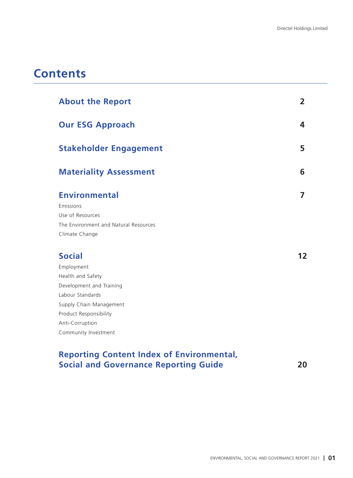## **Contents**

| <b>About the Report</b>                                                                                                                                                                          | $\overline{2}$ |
|--------------------------------------------------------------------------------------------------------------------------------------------------------------------------------------------------|----------------|
| <b>Our ESG Approach</b>                                                                                                                                                                          | 4              |
| <b>Stakeholder Engagement</b>                                                                                                                                                                    | 5              |
| <b>Materiality Assessment</b>                                                                                                                                                                    | 6              |
| <b>Environmental</b><br>Emissions<br>Use of Resources<br>The Environment and Natural Resources<br>Climate Change                                                                                 | 7              |
| <b>Social</b><br>Employment<br>Health and Safety<br>Development and Training<br>Labour Standards<br>Supply Chain Management<br>Product Responsibility<br>Anti-Corruption<br>Community Investment | 12             |

### **Reporting Content Index of Environmental, Social and Governance Reporting Guide 20**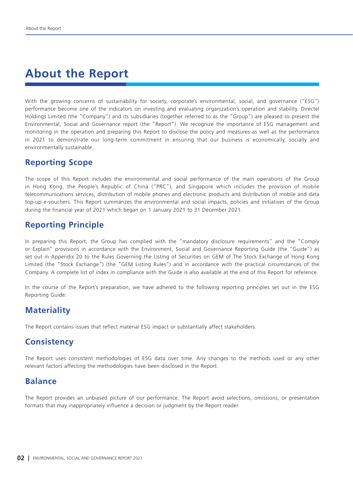## **About the Report**

With the growing concerns of sustainability for society, corporate's environmental, social, and governance ("ESG") performance become one of the indicators on investing and evaluating organization's operation and stability. Directel Holdings Limited (the "Company") and its subsidiaries (together referred to as the "Group") are pleased to present the Environmental, Social and Governance report (the "Report"). We recognize the importance of ESG management and monitoring in the operation and preparing this Report to disclose the policy and measures as well as the performance in 2021 to demonstrate our long-term commitment in ensuring that our business is economically, socially and environmentally sustainable.

#### **Reporting Scope**

The scope of this Report includes the environmental and social performance of the main operations of the Group in Hong Kong, the People's Republic of China ("PRC"), and Singapore which includes the provision of mobile telecommunications services, distribution of mobile phones and electronic products and distribution of mobile and data top-up e-vouchers. This Report summarizes the environmental and social impacts, policies and initiatives of the Group during the financial year of 2021 which began on 1 January 2021 to 31 December 2021.

#### **Reporting Principle**

In preparing this Report, the Group has complied with the "mandatory disclosure requirements" and the "Comply or Explain" provisions in accordance with the Environment, Social and Governance Reporting Guide (the "Guide") as set out in Appendix 20 to the Rules Governing the Listing of Securities on GEM of The Stock Exchange of Hong Kong Limited (the "Stock Exchange") (the "GEM Listing Rules") and in accordance with the practical circumstances of the Company. A complete list of index in compliance with the Guide is also available at the end of this Report for reference.

In the course of the Report's preparation, we have adhered to the following reporting principles set out in the ESG Reporting Guide:

#### **Materiality**

The Report contains issues that reflect material ESG impact or substantially affect stakeholders.

#### **Consistency**

The Report uses consistent methodologies of ESG data over time. Any changes to the methods used or any other relevant factors affecting the methodologies have been disclosed in the Report.

#### **Balance**

The Report provides an unbiased picture of our performance. The Report avoid selections, omissions, or presentation formats that may inappropriately influence a decision or judgment by the Report reader.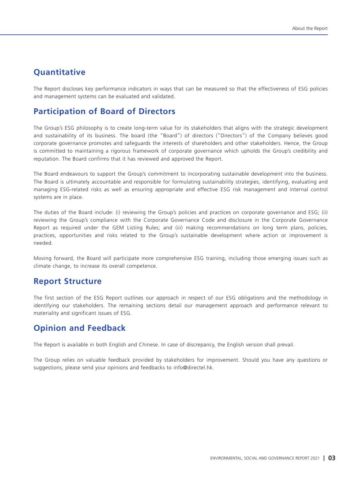#### **Quantitative**

The Report discloses key performance indicators in ways that can be measured so that the effectiveness of ESG policies and management systems can be evaluated and validated.

#### **Participation of Board of Directors**

The Group's ESG philosophy is to create long-term value for its stakeholders that aligns with the strategic development and sustainability of its business. The board (the "Board") of directors ("Directors") of the Company believes good corporate governance promotes and safeguards the interests of shareholders and other stakeholders. Hence, the Group is committed to maintaining a rigorous framework of corporate governance which upholds the Group's credibility and reputation. The Board confirms that it has reviewed and approved the Report.

The Board endeavours to support the Group's commitment to incorporating sustainable development into the business. The Board is ultimately accountable and responsible for formulating sustainability strategies, identifying, evaluating and managing ESG-related risks as well as ensuring appropriate and effective ESG risk management and internal control systems are in place.

The duties of the Board include: (i) reviewing the Group's policies and practices on corporate governance and ESG; (ii) reviewing the Group's compliance with the Corporate Governance Code and disclosure in the Corporate Governance Report as required under the GEM Listing Rules; and (iii) making recommendations on long term plans, policies, practices, opportunities and risks related to the Group's sustainable development where action or improvement is needed.

Moving forward, the Board will participate more comprehensive ESG training, including those emerging issues such as climate change, to increase its overall competence.

#### **Report Structure**

The first section of the ESG Report outlines our approach in respect of our ESG obligations and the methodology in identifying our stakeholders. The remaining sections detail our management approach and performance relevant to materiality and significant issues of ESG.

#### **Opinion and Feedback**

The Report is available in both English and Chinese. In case of discrepancy, the English version shall prevail.

The Group relies on valuable feedback provided by stakeholders for improvement. Should you have any questions or suggestions, please send your opinions and feedbacks to info@directel.hk.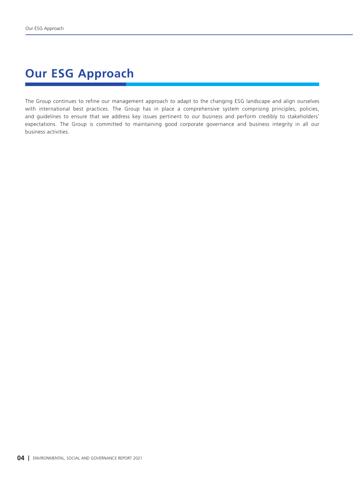## **Our ESG Approach**

The Group continues to refine our management approach to adapt to the changing ESG landscape and align ourselves with international best practices. The Group has in place a comprehensive system comprising principles, policies, and guidelines to ensure that we address key issues pertinent to our business and perform credibly to stakeholders' expectations. The Group is committed to maintaining good corporate governance and business integrity in all our business activities.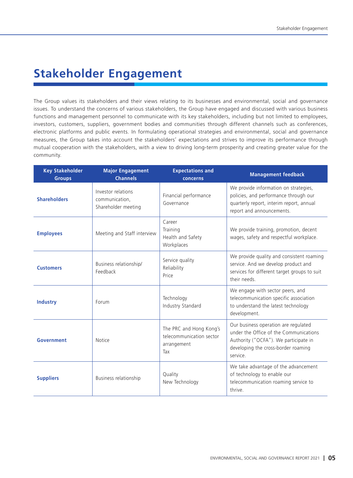## **Stakeholder Engagement**

The Group values its stakeholders and their views relating to its businesses and environmental, social and governance issues. To understand the concerns of various stakeholders, the Group have engaged and discussed with various business functions and management personnel to communicate with its key stakeholders, including but not limited to employees, investors, customers, suppliers, government bodies and communities through different channels such as conferences, electronic platforms and public events. In formulating operational strategies and environmental, social and governance measures, the Group takes into account the stakeholders' expectations and strives to improve its performance through mutual cooperation with the stakeholders, with a view to driving long-term prosperity and creating greater value for the community.

| <b>Key Stakeholder</b><br><b>Groups</b> | <b>Major Engagement</b><br><b>Channels</b>                  | <b>Expectations and</b><br>concerns                                       | <b>Management feedback</b>                                                                                                                                                 |
|-----------------------------------------|-------------------------------------------------------------|---------------------------------------------------------------------------|----------------------------------------------------------------------------------------------------------------------------------------------------------------------------|
| <b>Shareholders</b>                     | Investor relations<br>communication,<br>Shareholder meeting | Financial performance<br>Governance                                       | We provide information on strategies,<br>policies, and performance through our<br>quarterly report, interim report, annual<br>report and announcements.                    |
| <b>Employees</b>                        | Meeting and Staff interview                                 | Career<br>Training<br>Health and Safety<br>Workplaces                     | We provide training, promotion, decent<br>wages, safety and respectful workplace.                                                                                          |
| <b>Customers</b>                        | Business relationship/<br>Feedback                          | Service quality<br>Reliability<br>Price                                   | We provide quality and consistent roaming<br>service. And we develop product and<br>services for different target groups to suit<br>their needs.                           |
| <b>Industry</b>                         | Forum                                                       | Technology<br>Industry Standard                                           | We engage with sector peers, and<br>telecommunication specific association<br>to understand the latest technology<br>development.                                          |
| <b>Government</b>                       | <b>Notice</b>                                               | The PRC and Hong Kong's<br>telecommunication sector<br>arrangement<br>Tax | Our business operation are regulated<br>under the Office of the Communications<br>Authority ("OCFA"). We participate in<br>developing the cross-border roaming<br>service. |
| <b>Suppliers</b>                        | Business relationship                                       | Quality<br>New Technology                                                 | We take advantage of the advancement<br>of technology to enable our<br>telecommunication roaming service to<br>thrive.                                                     |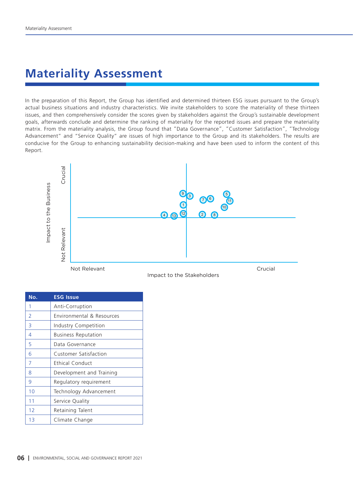## **Materiality Assessment**

In the preparation of this Report, the Group has identified and determined thirteen ESG issues pursuant to the Group's actual business situations and industry characteristics. We invite stakeholders to score the materiality of these thirteen issues, and then comprehensively consider the scores given by stakeholders against the Group's sustainable development goals, afterwards conclude and determine the ranking of materiality for the reported issues and prepare the materiality matrix. From the materiality analysis, the Group found that "Data Governance", "Customer Satisfaction", "Technology Advancement" and "Service Quality" are issues of high importance to the Group and its stakeholders. The results are conducive for the Group to enhancing sustainability decision-making and have been used to inform the content of this Report.



| No.            | <b>ESG Issue</b>           |
|----------------|----------------------------|
| 1              | Anti-Corruption            |
| $\overline{2}$ | Environmental & Resources  |
| 3              | Industry Competition       |
| 4              | <b>Business Reputation</b> |
| 5              | Data Governance            |
| 6              | Customer Satisfaction      |
| 7              | <b>Ethical Conduct</b>     |
| 8              | Development and Training   |
| 9              | Regulatory requirement     |
| 10             | Technology Advancement     |
| 11             | Service Quality            |
| 12             | Retaining Talent           |
| 13             | Climate Change             |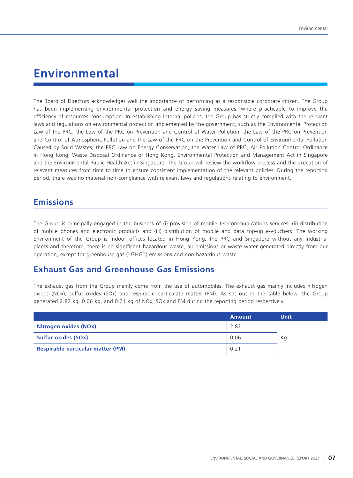### **Environmental**

The Board of Directors acknowledges well the importance of performing as a responsible corporate citizen. The Group has been implementing environmental protection and energy saving measures, where practicable to improve the efficiency of resources consumption. In establishing internal policies, the Group has strictly complied with the relevant laws and regulations on environmental protection implemented by the government, such as the Environmental Protection Law of the PRC, the Law of the PRC on Prevention and Control of Water Pollution, the Law of the PRC on Prevention and Control of Atmospheric Pollution and the Law of the PRC on the Prevention and Control of Environmental Pollution Caused by Solid Wastes, the PRC Law on Energy Conservation, the Water Law of PRC, Air Pollution Control Ordinance in Hong Kong, Waste Disposal Ordinance of Hong Kong, Environmental Protection and Management Act in Singapore and the Environmental Public Health Act in Singapore. The Group will review the workflow process and the execution of relevant measures from time to time to ensure consistent implementation of the relevant policies. During the reporting period, there was no material non-compliance with relevant laws and regulations relating to environment.

#### **Emissions**

The Group is principally engaged in the business of (i) provision of mobile telecommunications services, (ii) distribution of mobile phones and electronic products and (iii) distribution of mobile and data top-up e-vouchers. The working environment of the Group is indoor offices located in Hong Kong, the PRC and Singapore without any industrial plants and therefore, there is no significant hazardous waste, air emissions or waste water generated directly from our operation, except for greenhouse gas ("GHG") emissions and non-hazardous waste.

#### **Exhaust Gas and Greenhouse Gas Emissions**

The exhaust gas from the Group mainly come from the use of automobiles. The exhaust gas mainly includes nitrogen oxides (NOx), sulfur oxides (SOx) and respirable particulate matter (PM). As set out in the table below, the Group generated 2.82 kg, 0.06 kg, and 0.21 kg of NOx, SOx and PM during the reporting period respectively.

|                                          | <b>Amount</b> | <b>Unit</b> |
|------------------------------------------|---------------|-------------|
| <b>Nitrogen oxides (NOx)</b>             | 2.82          |             |
| <b>Sulfur oxides (SOx)</b>               | 0.06          | Кg          |
| <b>Respirable particular matter (PM)</b> | 0.21          |             |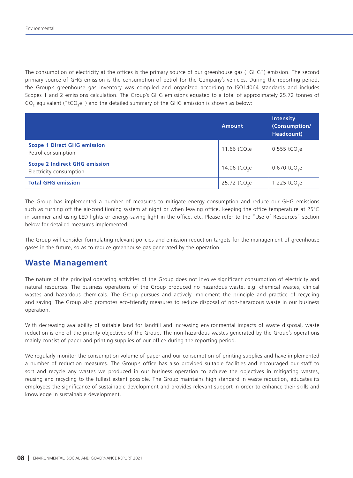The consumption of electricity at the offices is the primary source of our greenhouse gas ("GHG") emission. The second primary source of GHG emission is the consumption of petrol for the Company's vehicles. During the reporting period, the Group's greenhouse gas inventory was compiled and organized according to ISO14064 standards and includes Scopes 1 and 2 emissions calculation. The Group's GHG emissions equated to a total of approximately 25.72 tonnes of  $CO<sub>2</sub>$  equivalent ("tCO<sub>2</sub>e") and the detailed summary of the GHG emission is shown as below:

|                                                                 | <b>Amount</b>            | <b>Intensity</b><br>(Consumption/<br>Headcount) |
|-----------------------------------------------------------------|--------------------------|-------------------------------------------------|
| <b>Scope 1 Direct GHG emission</b><br>Petrol consumption        | 11.66 tCO <sub>2</sub> e | 0.555 tCO <sub>2</sub> e                        |
| <b>Scope 2 Indirect GHG emission</b><br>Electricity consumption | 14.06 tCO <sub>2</sub> e | 0.670 tCO <sub>2</sub> e                        |
| <b>Total GHG emission</b>                                       | 25.72 tCO <sub>2</sub> e | 1.225 tCO <sub>2</sub> e                        |

The Group has implemented a number of measures to mitigate energy consumption and reduce our GHG emissions such as turning off the air-conditioning system at night or when leaving office, keeping the office temperature at 25ºC in summer and using LED lights or energy-saving light in the office, etc. Please refer to the "Use of Resources" section below for detailed measures implemented.

The Group will consider formulating relevant policies and emission reduction targets for the management of greenhouse gases in the future, so as to reduce greenhouse gas generated by the operation.

#### **Waste Management**

The nature of the principal operating activities of the Group does not involve significant consumption of electricity and natural resources. The business operations of the Group produced no hazardous waste, e.g. chemical wastes, clinical wastes and hazardous chemicals. The Group pursues and actively implement the principle and practice of recycling and saving. The Group also promotes eco-friendly measures to reduce disposal of non-hazardous waste in our business operation.

With decreasing availability of suitable land for landfill and increasing environmental impacts of waste disposal, waste reduction is one of the priority objectives of the Group. The non-hazardous wastes generated by the Group's operations mainly consist of paper and printing supplies of our office during the reporting period.

We regularly monitor the consumption volume of paper and our consumption of printing supplies and have implemented a number of reduction measures. The Group's office has also provided suitable facilities and encouraged our staff to sort and recycle any wastes we produced in our business operation to achieve the objectives in mitigating wastes, reusing and recycling to the fullest extent possible. The Group maintains high standard in waste reduction, educates its employees the significance of sustainable development and provides relevant support in order to enhance their skills and knowledge in sustainable development.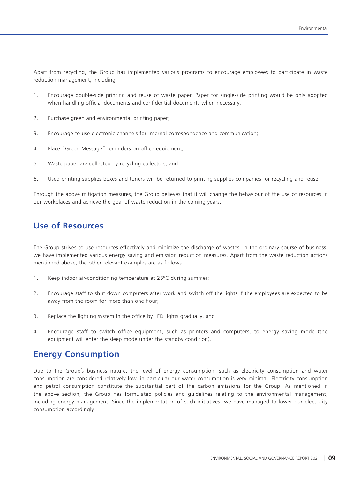Apart from recycling, the Group has implemented various programs to encourage employees to participate in waste reduction management, including:

- 1. Encourage double-side printing and reuse of waste paper. Paper for single-side printing would be only adopted when handling official documents and confidential documents when necessary;
- 2. Purchase green and environmental printing paper;
- 3. Encourage to use electronic channels for internal correspondence and communication;
- 4. Place "Green Message" reminders on office equipment;
- 5. Waste paper are collected by recycling collectors; and
- 6. Used printing supplies boxes and toners will be returned to printing supplies companies for recycling and reuse.

Through the above mitigation measures, the Group believes that it will change the behaviour of the use of resources in our workplaces and achieve the goal of waste reduction in the coming years.

#### **Use of Resources**

The Group strives to use resources effectively and minimize the discharge of wastes. In the ordinary course of business, we have implemented various energy saving and emission reduction measures. Apart from the waste reduction actions mentioned above, the other relevant examples are as follows:

- 1. Keep indoor air-conditioning temperature at 25ºC during summer;
- 2. Encourage staff to shut down computers after work and switch off the lights if the employees are expected to be away from the room for more than one hour;
- 3. Replace the lighting system in the office by LED lights gradually; and
- 4. Encourage staff to switch office equipment, such as printers and computers, to energy saving mode (the equipment will enter the sleep mode under the standby condition).

#### **Energy Consumption**

Due to the Group's business nature, the level of energy consumption, such as electricity consumption and water consumption are considered relatively low, in particular our water consumption is very minimal. Electricity consumption and petrol consumption constitute the substantial part of the carbon emissions for the Group. As mentioned in the above section, the Group has formulated policies and guidelines relating to the environmental management, including energy management. Since the implementation of such initiatives, we have managed to lower our electricity consumption accordingly.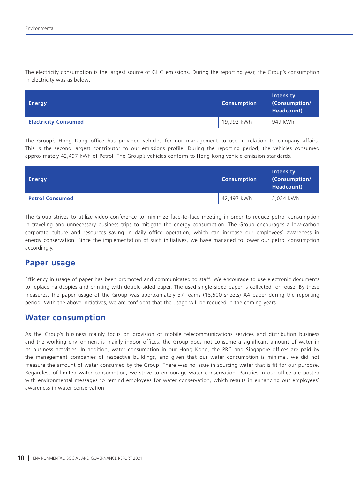The electricity consumption is the largest source of GHG emissions. During the reporting year, the Group's consumption in electricity was as below:

| <b>Energy</b>               | <b>Consumption</b> | <b>Intensity</b><br>(Consumption/<br>Headcount) |
|-----------------------------|--------------------|-------------------------------------------------|
| <b>Electricity Consumed</b> | 19,992 kWh         | 949 kWh                                         |

The Group's Hong Kong office has provided vehicles for our management to use in relation to company affairs. This is the second largest contributor to our emissions profile. During the reporting period, the vehicles consumed approximately 42,497 kWh of Petrol. The Group's vehicles conform to Hong Kong vehicle emission standards.

| <b>Energy</b>          | <b>Consumption</b> | <b>Intensity</b><br>(Consumption/<br>Headcount) |
|------------------------|--------------------|-------------------------------------------------|
| <b>Petrol Consumed</b> | 42,497 kWh         | 2,024 kWh                                       |

The Group strives to utilize video conference to minimize face-to-face meeting in order to reduce petrol consumption in traveling and unnecessary business trips to mitigate the energy consumption. The Group encourages a low-carbon corporate culture and resources saving in daily office operation, which can increase our employees' awareness in energy conservation. Since the implementation of such initiatives, we have managed to lower our petrol consumption accordingly.

#### **Paper usage**

Efficiency in usage of paper has been promoted and communicated to staff. We encourage to use electronic documents to replace hardcopies and printing with double-sided paper. The used single-sided paper is collected for reuse. By these measures, the paper usage of the Group was approximately 37 reams (18,500 sheets) A4 paper during the reporting period. With the above initiatives, we are confident that the usage will be reduced in the coming years.

#### **Water consumption**

As the Group's business mainly focus on provision of mobile telecommunications services and distribution business and the working environment is mainly indoor offices, the Group does not consume a significant amount of water in its business activities. In addition, water consumption in our Hong Kong, the PRC and Singapore offices are paid by the management companies of respective buildings, and given that our water consumption is minimal, we did not measure the amount of water consumed by the Group. There was no issue in sourcing water that is fit for our purpose. Regardless of limited water consumption, we strive to encourage water conservation. Pantries in our office are posted with environmental messages to remind employees for water conservation, which results in enhancing our employees' awareness in water conservation.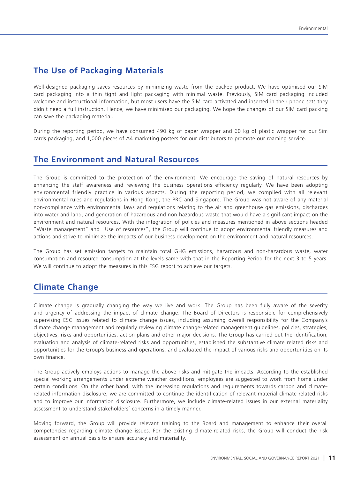#### **The Use of Packaging Materials**

Well-designed packaging saves resources by minimizing waste from the packed product. We have optimised our SIM card packaging into a thin tight and light packaging with minimal waste. Previously, SIM card packaging included welcome and instructional information, but most users have the SIM card activated and inserted in their phone sets they didn't need a full instruction. Hence, we have minimised our packaging. We hope the changes of our SIM card packing can save the packaging material.

During the reporting period, we have consumed 490 kg of paper wrapper and 60 kg of plastic wrapper for our Sim cards packaging, and 1,000 pieces of A4 marketing posters for our distributors to promote our roaming service.

#### **The Environment and Natural Resources**

The Group is committed to the protection of the environment. We encourage the saving of natural resources by enhancing the staff awareness and reviewing the business operations efficiency regularly. We have been adopting environmental friendly practice in various aspects. During the reporting period, we complied with all relevant environmental rules and regulations in Hong Kong, the PRC and Singapore. The Group was not aware of any material non-compliance with environmental laws and regulations relating to the air and greenhouse gas emissions, discharges into water and land, and generation of hazardous and non-hazardous waste that would have a significant impact on the environment and natural resources. With the integration of policies and measures mentioned in above sections headed "Waste management" and "Use of resources", the Group will continue to adopt environmental friendly measures and actions and strive to minimize the impacts of our business development on the environment and natural resources.

The Group has set emission targets to maintain total GHG emissions, hazardous and non-hazardous waste, water consumption and resource consumption at the levels same with that in the Reporting Period for the next 3 to 5 years. We will continue to adopt the measures in this ESG report to achieve our targets.

#### **Climate Change**

Climate change is gradually changing the way we live and work. The Group has been fully aware of the severity and urgency of addressing the impact of climate change. The Board of Directors is responsible for comprehensively supervising ESG issues related to climate change issues, including assuming overall responsibility for the Company's climate change management and regularly reviewing climate change-related management guidelines, policies, strategies, objectives, risks and opportunities, action plans and other major decisions. The Group has carried out the identification, evaluation and analysis of climate-related risks and opportunities, established the substantive climate related risks and opportunities for the Group's business and operations, and evaluated the impact of various risks and opportunities on its own finance.

The Group actively employs actions to manage the above risks and mitigate the impacts. According to the established special working arrangements under extreme weather conditions, employees are suggested to work from home under certain conditions. On the other hand, with the increasing regulations and requirements towards carbon and climaterelated information disclosure, we are committed to continue the identification of relevant material climate-related risks and to improve our information disclosure. Furthermore, we include climate-related issues in our external materiality assessment to understand stakeholders' concerns in a timely manner.

Moving forward, the Group will provide relevant training to the Board and management to enhance their overall competencies regarding climate change issues. For the existing climate-related risks, the Group will conduct the risk assessment on annual basis to ensure accuracy and materiality.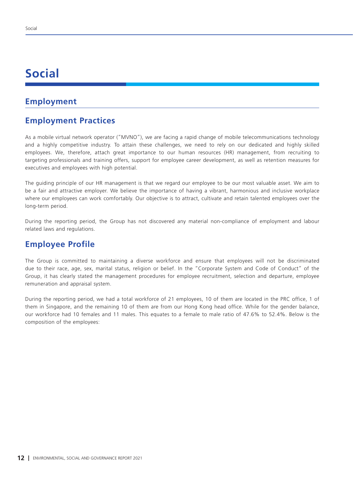### **Social**

#### **Employment**

#### **Employment Practices**

As a mobile virtual network operator ("MVNO"), we are facing a rapid change of mobile telecommunications technology and a highly competitive industry. To attain these challenges, we need to rely on our dedicated and highly skilled employees. We, therefore, attach great importance to our human resources (HR) management, from recruiting to targeting professionals and training offers, support for employee career development, as well as retention measures for executives and employees with high potential.

The guiding principle of our HR management is that we regard our employee to be our most valuable asset. We aim to be a fair and attractive employer. We believe the importance of having a vibrant, harmonious and inclusive workplace where our employees can work comfortably. Our objective is to attract, cultivate and retain talented employees over the long-term period.

During the reporting period, the Group has not discovered any material non-compliance of employment and labour related laws and regulations.

#### **Employee Profile**

The Group is committed to maintaining a diverse workforce and ensure that employees will not be discriminated due to their race, age, sex, marital status, religion or belief. In the "Corporate System and Code of Conduct" of the Group, it has clearly stated the management procedures for employee recruitment, selection and departure, employee remuneration and appraisal system.

During the reporting period, we had a total workforce of 21 employees, 10 of them are located in the PRC office, 1 of them in Singapore, and the remaining 10 of them are from our Hong Kong head office. While for the gender balance, our workforce had 10 females and 11 males. This equates to a female to male ratio of 47.6% to 52.4%. Below is the composition of the employees: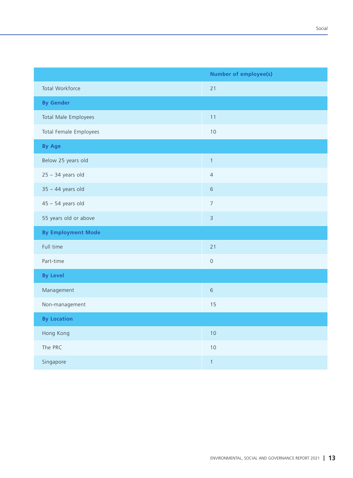|                           | Number of employee(s) |
|---------------------------|-----------------------|
| Total Workforce           | 21                    |
| <b>By Gender</b>          |                       |
| Total Male Employees      | 11                    |
| Total Female Employees    | $10$                  |
| <b>By Age</b>             |                       |
| Below 25 years old        | $\mathbf{1}$          |
| $25 - 34$ years old       | $\overline{4}$        |
| $35 - 44$ years old       | $6\,$                 |
| $45 - 54$ years old       | $\overline{7}$        |
| 55 years old or above     | $\overline{3}$        |
| <b>By Employment Mode</b> |                       |
| Full time                 | 21                    |
| Part-time                 | $\mathsf{O}$          |
| <b>By Level</b>           |                       |
| Management                | $\sqrt{6}$            |
| Non-management            | 15                    |
| <b>By Location</b>        |                       |
| Hong Kong                 | 10                    |
| The PRC                   | 10                    |
| Singapore                 | $\mathbf{1}$          |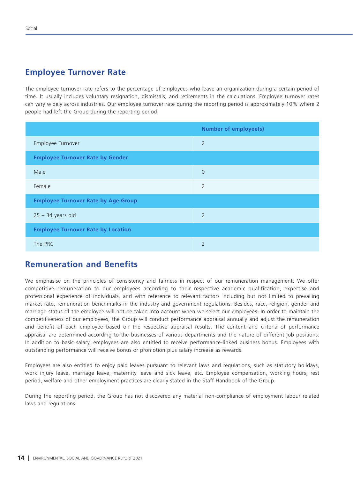### **Employee Turnover Rate**

The employee turnover rate refers to the percentage of employees who leave an organization during a certain period of time. It usually includes voluntary resignation, dismissals, and retirements in the calculations. Employee turnover rates can vary widely across industries. Our employee turnover rate during the reporting period is approximately 10% where 2 people had left the Group during the reporting period.

|                                            | <b>Number of employee(s)</b> |
|--------------------------------------------|------------------------------|
| Employee Turnover                          | $\overline{2}$               |
| <b>Employee Turnover Rate by Gender</b>    |                              |
| Male                                       | $\overline{0}$               |
| Female                                     | $\overline{2}$               |
| <b>Employee Turnover Rate by Age Group</b> |                              |
| $25 - 34$ years old                        | $\overline{2}$               |
| <b>Employee Turnover Rate by Location</b>  |                              |
| The PRC                                    | 2                            |

### **Remuneration and Benefits**

We emphasise on the principles of consistency and fairness in respect of our remuneration management. We offer competitive remuneration to our employees according to their respective academic qualification, expertise and professional experience of individuals, and with reference to relevant factors including but not limited to prevailing market rate, remuneration benchmarks in the industry and government regulations. Besides, race, religion, gender and marriage status of the employee will not be taken into account when we select our employees. In order to maintain the competitiveness of our employees, the Group will conduct performance appraisal annually and adjust the remuneration and benefit of each employee based on the respective appraisal results. The content and criteria of performance appraisal are determined according to the businesses of various departments and the nature of different job positions. In addition to basic salary, employees are also entitled to receive performance-linked business bonus. Employees with outstanding performance will receive bonus or promotion plus salary increase as rewards.

Employees are also entitled to enjoy paid leaves pursuant to relevant laws and regulations, such as statutory holidays, work injury leave, marriage leave, maternity leave and sick leave, etc. Employee compensation, working hours, rest period, welfare and other employment practices are clearly stated in the Staff Handbook of the Group.

During the reporting period, the Group has not discovered any material non-compliance of employment labour related laws and regulations.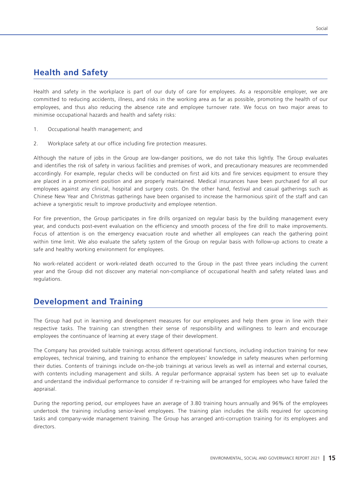#### **Health and Safety**

Health and safety in the workplace is part of our duty of care for employees. As a responsible employer, we are committed to reducing accidents, illness, and risks in the working area as far as possible, promoting the health of our employees, and thus also reducing the absence rate and employee turnover rate. We focus on two major areas to minimise occupational hazards and health and safety risks:

- 1. Occupational health management; and
- 2. Workplace safety at our office including fire protection measures.

Although the nature of jobs in the Group are low-danger positions, we do not take this lightly. The Group evaluates and identifies the risk of safety in various facilities and premises of work, and precautionary measures are recommended accordingly. For example, regular checks will be conducted on first aid kits and fire services equipment to ensure they are placed in a prominent position and are properly maintained. Medical insurances have been purchased for all our employees against any clinical, hospital and surgery costs. On the other hand, festival and casual gatherings such as Chinese New Year and Christmas gatherings have been organised to increase the harmonious spirit of the staff and can achieve a synergistic result to improve productivity and employee retention.

For fire prevention, the Group participates in fire drills organized on regular basis by the building management every year, and conducts post-event evaluation on the efficiency and smooth process of the fire drill to make improvements. Focus of attention is on the emergency evacuation route and whether all employees can reach the gathering point within time limit. We also evaluate the safety system of the Group on regular basis with follow-up actions to create a safe and healthy working environment for employees.

No work-related accident or work-related death occurred to the Group in the past three years including the current year and the Group did not discover any material non-compliance of occupational health and safety related laws and regulations.

#### **Development and Training**

The Group had put in learning and development measures for our employees and help them grow in line with their respective tasks. The training can strengthen their sense of responsibility and willingness to learn and encourage employees the continuance of learning at every stage of their development.

The Company has provided suitable trainings across different operational functions, including induction training for new employees, technical training, and training to enhance the employees' knowledge in safety measures when performing their duties. Contents of trainings include on-the-job trainings at various levels as well as internal and external courses, with contents including management and skills. A regular performance appraisal system has been set up to evaluate and understand the individual performance to consider if re-training will be arranged for employees who have failed the appraisal.

During the reporting period, our employees have an average of 3.80 training hours annually and 96% of the employees undertook the training including senior-level employees. The training plan includes the skills required for upcoming tasks and company-wide management training. The Group has arranged anti-corruption training for its employees and directors.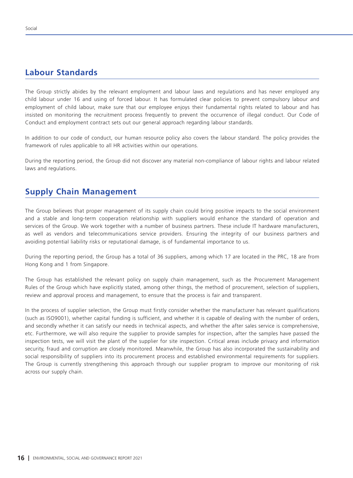### **Labour Standards**

The Group strictly abides by the relevant employment and labour laws and regulations and has never employed any child labour under 16 and using of forced labour. It has formulated clear policies to prevent compulsory labour and employment of child labour, make sure that our employee enjoys their fundamental rights related to labour and has insisted on monitoring the recruitment process frequently to prevent the occurrence of illegal conduct. Our Code of Conduct and employment contract sets out our general approach regarding labour standards.

In addition to our code of conduct, our human resource policy also covers the labour standard. The policy provides the framework of rules applicable to all HR activities within our operations.

During the reporting period, the Group did not discover any material non-compliance of labour rights and labour related laws and regulations.

#### **Supply Chain Management**

The Group believes that proper management of its supply chain could bring positive impacts to the social environment and a stable and long-term cooperation relationship with suppliers would enhance the standard of operation and services of the Group. We work together with a number of business partners. These include IT hardware manufacturers, as well as vendors and telecommunications service providers. Ensuring the integrity of our business partners and avoiding potential liability risks or reputational damage, is of fundamental importance to us.

During the reporting period, the Group has a total of 36 suppliers, among which 17 are located in the PRC, 18 are from Hong Kong and 1 from Singapore.

The Group has established the relevant policy on supply chain management, such as the Procurement Management Rules of the Group which have explicitly stated, among other things, the method of procurement, selection of suppliers, review and approval process and management, to ensure that the process is fair and transparent.

In the process of supplier selection, the Group must firstly consider whether the manufacturer has relevant qualifications (such as ISO9001), whether capital funding is sufficient, and whether it is capable of dealing with the number of orders, and secondly whether it can satisfy our needs in technical aspects, and whether the after sales service is comprehensive, etc. Furthermore, we will also require the supplier to provide samples for inspection, after the samples have passed the inspection tests, we will visit the plant of the supplier for site inspection. Critical areas include privacy and information security, fraud and corruption are closely monitored. Meanwhile, the Group has also incorporated the sustainability and social responsibility of suppliers into its procurement process and established environmental requirements for suppliers. The Group is currently strengthening this approach through our supplier program to improve our monitoring of risk across our supply chain.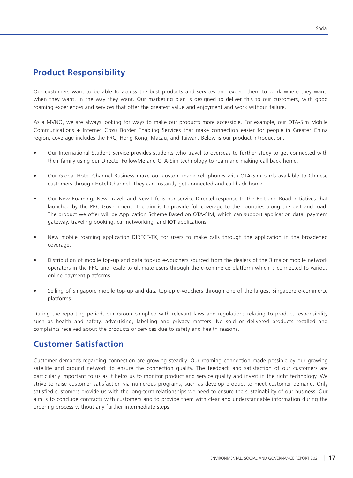#### **Product Responsibility**

Our customers want to be able to access the best products and services and expect them to work where they want, when they want, in the way they want. Our marketing plan is designed to deliver this to our customers, with good roaming experiences and services that offer the greatest value and enjoyment and work without failure.

As a MVNO, we are always looking for ways to make our products more accessible. For example, our OTA-Sim Mobile Communications + Internet Cross Border Enabling Services that make connection easier for people in Greater China region, coverage includes the PRC, Hong Kong, Macau, and Taiwan. Below is our product introduction:

- Our International Student Service provides students who travel to overseas to further study to get connected with their family using our Directel FollowMe and OTA-Sim technology to roam and making call back home.
- Our Global Hotel Channel Business make our custom made cell phones with OTA-Sim cards available to Chinese customers through Hotel Channel. They can instantly get connected and call back home.
- Our New Roaming, New Travel, and New Life is our service Directel response to the Belt and Road initiatives that launched by the PRC Government. The aim is to provide full coverage to the countries along the belt and road. The product we offer will be Application Scheme Based on OTA-SIM, which can support application data, payment gateway, traveling booking, car networking, and IOT applications.
- New mobile roaming application DIRECT-TX, for users to make calls through the application in the broadened coverage.
- Distribution of mobile top-up and data top-up e-vouchers sourced from the dealers of the 3 major mobile network operators in the PRC and resale to ultimate users through the e-commerce platform which is connected to various online payment platforms.
- Selling of Singapore mobile top-up and data top-up e-vouchers through one of the largest Singapore e-commerce platforms.

During the reporting period, our Group complied with relevant laws and regulations relating to product responsibility such as health and safety, advertising, labelling and privacy matters. No sold or delivered products recalled and complaints received about the products or services due to safety and health reasons.

#### **Customer Satisfaction**

Customer demands regarding connection are growing steadily. Our roaming connection made possible by our growing satellite and ground network to ensure the connection quality. The feedback and satisfaction of our customers are particularly important to us as it helps us to monitor product and service quality and invest in the right technology. We strive to raise customer satisfaction via numerous programs, such as develop product to meet customer demand. Only satisfied customers provide us with the long-term relationships we need to ensure the sustainability of our business. Our aim is to conclude contracts with customers and to provide them with clear and understandable information during the ordering process without any further intermediate steps.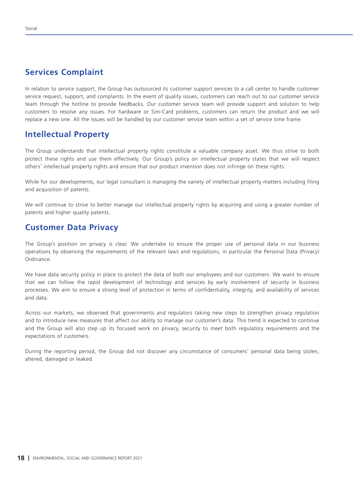In relation to service support, the Group has outsourced its customer support services to a call center to handle customer service request, support, and complaints. In the event of quality issues, customers can reach out to our customer service team through the hotline to provide feedbacks. Our customer service team will provide support and solution to help customers to resolve any issues. For hardware or Sim-Card problems, customers can return the product and we will replace a new one. All the issues will be handled by our customer service team within a set of service time frame.

### **Intellectual Property**

The Group understands that intellectual property rights constitute a valuable company asset. We thus strive to both protect these rights and use them effectively. Our Group's policy on intellectual property states that we will respect others' intellectual property rights and ensure that our product invention does not infringe on these rights.

While for our developments, our legal consultant is managing the variety of intellectual property matters including filing and acquisition of patents.

We will continue to strive to better manage our intellectual property rights by acquiring and using a greater number of patents and higher quality patents.

#### **Customer Data Privacy**

The Group's position on privacy is clear. We undertake to ensure the proper use of personal data in our business operations by observing the requirements of the relevant laws and regulations, in particular the Personal Data (Privacy) Ordinance.

We have data security policy in place to protect the data of both our employees and our customers. We want to ensure that we can follow the rapid development of technology and services by early involvement of security in business processes. We aim to ensure a strong level of protection in terms of confidentiality, integrity, and availability of services and data.

Across our markets, we observed that governments and regulators taking new steps to strengthen privacy regulation and to introduce new measures that affect our ability to manage our customer's data. This trend is expected to continue and the Group will also step up its focused work on privacy, security to meet both regulatory requirements and the expectations of customers.

During the reporting period, the Group did not discover any circumstance of consumers' personal data being stolen, altered, damaged or leaked.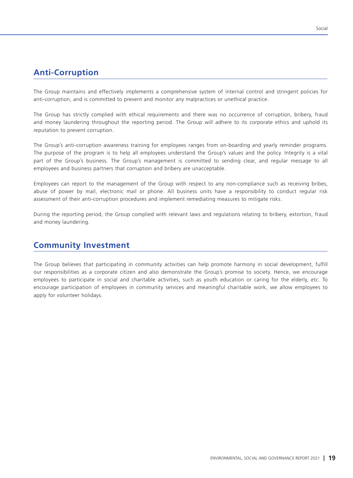#### **Anti-Corruption**

The Group maintains and effectively implements a comprehensive system of internal control and stringent policies for anti-corruption, and is committed to prevent and monitor any malpractices or unethical practice.

The Group has strictly complied with ethical requirements and there was no occurrence of corruption, bribery, fraud and money laundering throughout the reporting period. The Group will adhere to its corporate ethics and uphold its reputation to prevent corruption.

The Group's anti-corruption awareness training for employees ranges from on-boarding and yearly reminder programs. The purpose of the program is to help all employees understand the Group's values and the policy. Integrity is a vital part of the Group's business. The Group's management is committed to sending clear, and regular message to all employees and business partners that corruption and bribery are unacceptable.

Employees can report to the management of the Group with respect to any non-compliance such as receiving bribes, abuse of power by mail, electronic mail or phone. All business units have a responsibility to conduct regular risk assessment of their anti-corruption procedures and implement remediating measures to mitigate risks.

During the reporting period, the Group complied with relevant laws and regulations relating to bribery, extortion, fraud and money laundering.

#### **Community Investment**

The Group believes that participating in community activities can help promote harmony in social development, fulfill our responsibilities as a corporate citizen and also demonstrate the Group's promise to society. Hence, we encourage employees to participate in social and charitable activities, such as youth education or caring for the elderly, etc. To encourage participation of employees in community services and meaningful charitable work, we allow employees to apply for volunteer holidays.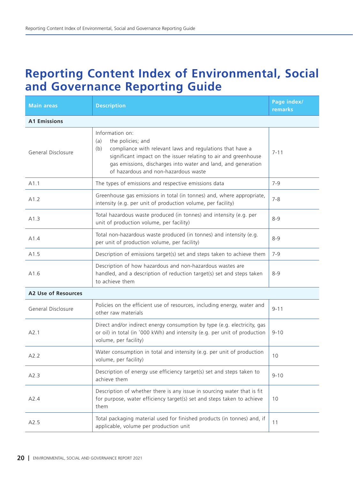## **Reporting Content Index of Environmental, Social and Governance Reporting Guide**

| <b>Main areas</b>          | <b>Description</b>                                                                                                                                                                                                                                                                          | Page index/<br>remarks |  |  |
|----------------------------|---------------------------------------------------------------------------------------------------------------------------------------------------------------------------------------------------------------------------------------------------------------------------------------------|------------------------|--|--|
| <b>A1 Emissions</b>        |                                                                                                                                                                                                                                                                                             |                        |  |  |
| General Disclosure         | Information on:<br>the policies; and<br>(a)<br>compliance with relevant laws and regulations that have a<br>(b)<br>significant impact on the issuer relating to air and greenhouse<br>gas emissions, discharges into water and land, and generation<br>of hazardous and non-hazardous waste | $7 - 11$               |  |  |
| A1.1                       | The types of emissions and respective emissions data                                                                                                                                                                                                                                        | $7 - 9$                |  |  |
| A1.2                       | Greenhouse gas emissions in total (in tonnes) and, where appropriate,<br>intensity (e.g. per unit of production volume, per facility)                                                                                                                                                       | $7 - 8$                |  |  |
| A1.3                       | Total hazardous waste produced (in tonnes) and intensity (e.g. per<br>unit of production volume, per facility)                                                                                                                                                                              | $8 - 9$                |  |  |
| A1.4                       | Total non-hazardous waste produced (in tonnes) and intensity (e.g.<br>per unit of production volume, per facility)                                                                                                                                                                          | $8 - 9$                |  |  |
| A1.5                       | Description of emissions target(s) set and steps taken to achieve them                                                                                                                                                                                                                      | $7 - 9$                |  |  |
| A1.6                       | Description of how hazardous and non-hazardous wastes are<br>handled, and a description of reduction target(s) set and steps taken<br>to achieve them                                                                                                                                       | $8 - 9$                |  |  |
| <b>A2 Use of Resources</b> |                                                                                                                                                                                                                                                                                             |                        |  |  |
| General Disclosure         | Policies on the efficient use of resources, including energy, water and<br>other raw materials                                                                                                                                                                                              | $9 - 11$               |  |  |
| A2.1                       | Direct and/or indirect energy consumption by type (e.g. electricity, gas<br>or oil) in total (in '000 kWh) and intensity (e.g. per unit of production<br>volume, per facility)                                                                                                              | $9 - 10$               |  |  |
| A2.2                       | Water consumption in total and intensity (e.g. per unit of production<br>volume, per facility)                                                                                                                                                                                              | 10                     |  |  |
| A2.3                       | Description of energy use efficiency target(s) set and steps taken to<br>achieve them                                                                                                                                                                                                       | $9 - 10$               |  |  |
| A2.4                       | Description of whether there is any issue in sourcing water that is fit<br>for purpose, water efficiency target(s) set and steps taken to achieve<br>them                                                                                                                                   | 10                     |  |  |
| A2.5                       | Total packaging material used for finished products (in tonnes) and, if<br>applicable, volume per production unit                                                                                                                                                                           | 11                     |  |  |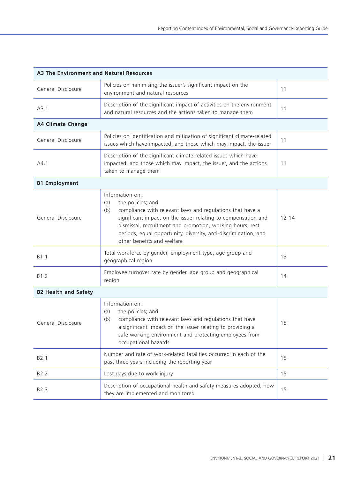| A3 The Environment and Natural Resources |                                                                                                                                                                                                                                                                                                                                                |           |  |
|------------------------------------------|------------------------------------------------------------------------------------------------------------------------------------------------------------------------------------------------------------------------------------------------------------------------------------------------------------------------------------------------|-----------|--|
| General Disclosure                       | Policies on minimising the issuer's significant impact on the<br>environment and natural resources                                                                                                                                                                                                                                             | 11        |  |
| A3.1                                     | Description of the significant impact of activities on the environment<br>and natural resources and the actions taken to manage them                                                                                                                                                                                                           | 11        |  |
| <b>A4 Climate Change</b>                 |                                                                                                                                                                                                                                                                                                                                                |           |  |
| General Disclosure                       | Policies on identification and mitigation of significant climate-related<br>issues which have impacted, and those which may impact, the issuer                                                                                                                                                                                                 | 11        |  |
| A4.1                                     | Description of the significant climate-related issues which have<br>impacted, and those which may impact, the issuer, and the actions<br>taken to manage them                                                                                                                                                                                  | 11        |  |
| <b>B1 Employment</b>                     |                                                                                                                                                                                                                                                                                                                                                |           |  |
| General Disclosure                       | Information on:<br>the policies; and<br>(a)<br>compliance with relevant laws and regulations that have a<br>(b)<br>significant impact on the issuer relating to compensation and<br>dismissal, recruitment and promotion, working hours, rest<br>periods, equal opportunity, diversity, anti-discrimination, and<br>other benefits and welfare | $12 - 14$ |  |
| B <sub>1.1</sub>                         | Total workforce by gender, employment type, age group and<br>geographical region                                                                                                                                                                                                                                                               | 13        |  |
| B <sub>1.2</sub>                         | Employee turnover rate by gender, age group and geographical<br>region                                                                                                                                                                                                                                                                         | 14        |  |
| <b>B2 Health and Safety</b>              |                                                                                                                                                                                                                                                                                                                                                |           |  |
| General Disclosure                       | Information on:<br>the policies; and<br>(a)<br>compliance with relevant laws and regulations that have<br>(b)<br>a significant impact on the issuer relating to providing a<br>safe working environment and protecting employees from<br>occupational hazards                                                                                  | 15        |  |
| B2.1                                     | Number and rate of work-related fatalities occurred in each of the<br>past three years including the reporting year                                                                                                                                                                                                                            | 15        |  |
| B <sub>2.2</sub>                         | Lost days due to work injury                                                                                                                                                                                                                                                                                                                   | 15        |  |
| B <sub>2.3</sub>                         | Description of occupational health and safety measures adopted, how<br>they are implemented and monitored                                                                                                                                                                                                                                      | 15        |  |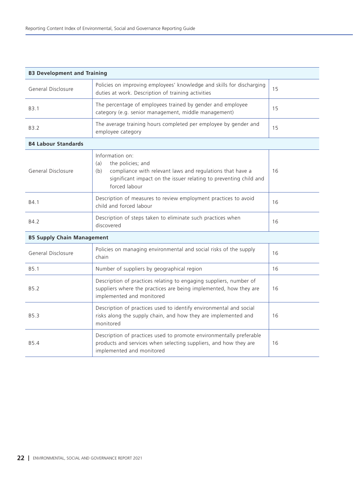| <b>B3 Development and Training</b> |                                                                                                                                                                                                       |    |
|------------------------------------|-------------------------------------------------------------------------------------------------------------------------------------------------------------------------------------------------------|----|
| General Disclosure                 | Policies on improving employees' knowledge and skills for discharging<br>duties at work. Description of training activities                                                                           | 15 |
| B <sub>3.1</sub>                   | The percentage of employees trained by gender and employee<br>category (e.g. senior management, middle management)                                                                                    | 15 |
| B <sub>3.2</sub>                   | The average training hours completed per employee by gender and<br>employee category                                                                                                                  | 15 |
| <b>B4 Labour Standards</b>         |                                                                                                                                                                                                       |    |
| General Disclosure                 | Information on:<br>the policies; and<br>(a)<br>compliance with relevant laws and regulations that have a<br>(b)<br>significant impact on the issuer relating to preventing child and<br>forced labour | 16 |
| B4.1                               | Description of measures to review employment practices to avoid<br>child and forced labour                                                                                                            | 16 |
| B4.2                               | Description of steps taken to eliminate such practices when<br>discovered                                                                                                                             | 16 |
| <b>B5 Supply Chain Management</b>  |                                                                                                                                                                                                       |    |
| General Disclosure                 | Policies on managing environmental and social risks of the supply<br>chain                                                                                                                            | 16 |
| B5.1                               | Number of suppliers by geographical region                                                                                                                                                            | 16 |
| B5.2                               | Description of practices relating to engaging suppliers, number of<br>suppliers where the practices are being implemented, how they are<br>implemented and monitored                                  | 16 |
| B5.3                               | Description of practices used to identify environmental and social<br>risks along the supply chain, and how they are implemented and<br>monitored                                                     | 16 |
| <b>B5.4</b>                        | Description of practices used to promote environmentally preferable<br>products and services when selecting suppliers, and how they are<br>implemented and monitored                                  | 16 |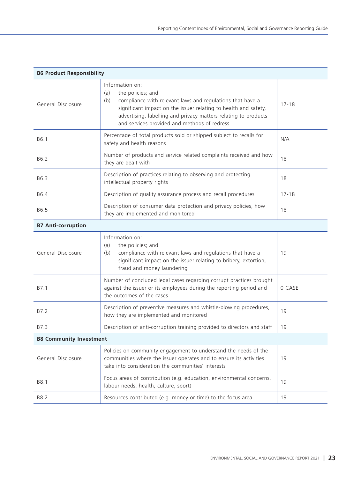| <b>B6 Product Responsibility</b> |                                                                                                                                                                                                                                                                                                       |           |
|----------------------------------|-------------------------------------------------------------------------------------------------------------------------------------------------------------------------------------------------------------------------------------------------------------------------------------------------------|-----------|
| General Disclosure               | Information on:<br>the policies; and<br>(a)<br>compliance with relevant laws and regulations that have a<br>(b)<br>significant impact on the issuer relating to health and safety,<br>advertising, labelling and privacy matters relating to products<br>and services provided and methods of redress | $17 - 18$ |
| B6.1                             | Percentage of total products sold or shipped subject to recalls for<br>safety and health reasons                                                                                                                                                                                                      | N/A       |
| B6.2                             | Number of products and service related complaints received and how<br>they are dealt with                                                                                                                                                                                                             | 18        |
| B6.3                             | Description of practices relating to observing and protecting<br>intellectual property rights                                                                                                                                                                                                         | 18        |
| B6.4                             | Description of quality assurance process and recall procedures                                                                                                                                                                                                                                        | $17 - 18$ |
| B6.5                             | Description of consumer data protection and privacy policies, how<br>they are implemented and monitored                                                                                                                                                                                               | 18        |
| <b>B7 Anti-corruption</b>        |                                                                                                                                                                                                                                                                                                       |           |
| General Disclosure               | Information on:<br>the policies; and<br>(a)<br>compliance with relevant laws and regulations that have a<br>(b)<br>significant impact on the issuer relating to bribery, extortion,<br>fraud and money laundering                                                                                     | 19        |
| B7.1                             | Number of concluded legal cases regarding corrupt practices brought<br>against the issuer or its employees during the reporting period and<br>the outcomes of the cases                                                                                                                               | 0 CASE    |
| B7.2                             | Description of preventive measures and whistle-blowing procedures,<br>how they are implemented and monitored                                                                                                                                                                                          | 19        |
| B7.3                             | Description of anti-corruption training provided to directors and staff                                                                                                                                                                                                                               | 19        |
| <b>B8 Community Investment</b>   |                                                                                                                                                                                                                                                                                                       |           |
| General Disclosure               | Policies on community engagement to understand the needs of the<br>communities where the issuer operates and to ensure its activities<br>take into consideration the communities' interests                                                                                                           | 19        |
| B8.1                             | Focus areas of contribution (e.g. education, environmental concerns,<br>labour needs, health, culture, sport)                                                                                                                                                                                         | 19        |
| B8.2                             | Resources contributed (e.g. money or time) to the focus area                                                                                                                                                                                                                                          | 19        |